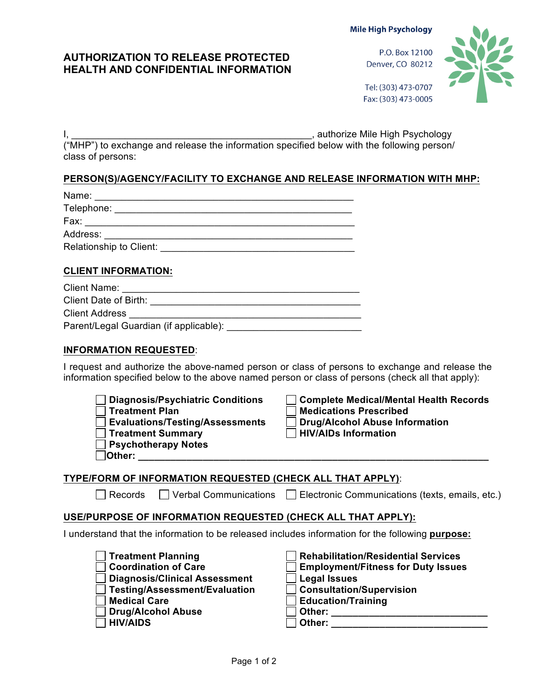#### **Mile High Psychology**

# **AUTHORIZATION TO RELEASE PROTECTED HEALTH AND CONFIDENTIAL INFORMATION**

P.O. Box 12100 Denver, CO 80212



Tel: (303) 473-0707 Fax: (303) 473-0005

I, \_\_\_\_\_\_\_\_\_\_\_\_\_\_\_\_\_\_\_\_\_\_\_\_\_\_\_\_\_\_\_\_\_\_\_\_\_\_\_\_\_\_\_\_\_, authorize Mile High Psychology ("MHP") to exchange and release the information specified below with the following person/ class of persons:

# **PERSON(S)/AGENCY/FACILITY TO EXCHANGE AND RELEASE INFORMATION WITH MHP:**

| Relationship to Client: Network and the contract of the contract of the contract of the contract of the contract of the contract of the contract of the contract of the contract of the contract of the contract of the contra |  |  |  |
|--------------------------------------------------------------------------------------------------------------------------------------------------------------------------------------------------------------------------------|--|--|--|
|                                                                                                                                                                                                                                |  |  |  |
| <b>CLIENT INFORMATION:</b>                                                                                                                                                                                                     |  |  |  |
| <b>Client Name:</b>                                                                                                                                                                                                            |  |  |  |

| <b>UILLIVAILLE</b>                     |  |  |  |
|----------------------------------------|--|--|--|
| Client Date of Birth:                  |  |  |  |
| <b>Client Address</b>                  |  |  |  |
| Parent/Legal Guardian (if applicable): |  |  |  |
|                                        |  |  |  |

### **INFORMATION REQUESTED**:

I request and authorize the above-named person or class of persons to exchange and release the information specified below to the above named person or class of persons (check all that apply):



| □ Complete Medical/Mental Health Records      |
|-----------------------------------------------|
| $\sqcap$ Medications Prescribed               |
| Drug/Alcohol Abuse Information                |
| $\overline{\phantom{a}}$ HIV/AIDs Information |
|                                               |

## **TYPE/FORM OF INFORMATION REQUESTED (CHECK ALL THAT APPLY)**:

Records Verbal Communications Electronic Communications (texts, emails, etc.)

## **USE/PURPOSE OF INFORMATION REQUESTED (CHECK ALL THAT APPLY):**

I understand that the information to be released includes information for the following **purpose:**

| Treatment Planning            | <b>Rehabilitation/Residential</b> |
|-------------------------------|-----------------------------------|
| <b>Coordination of Care</b>   | <b>Employment/Fitness for D</b>   |
| Diagnosis/Clinical Assessment | Legal Issues                      |
| Testing/Assessment/Evaluation | □ Consultation/Supervision        |
| Medical Care                  | <b>Education/Training</b>         |
| Drug/Alcohol Abuse            | Other:                            |
| <b>HIV/AIDS</b>               | Other:                            |
|                               |                                   |

| <b>Treatment Planning</b>            | <b>Rehabilitation/Residential Services</b> |
|--------------------------------------|--------------------------------------------|
| <b>Coordination of Care</b>          | <b>Employment/Fitness for Duty Issues</b>  |
| <b>Diagnosis/Clinical Assessment</b> | <b>Legal Issues</b>                        |
| <b>Testing/Assessment/Evaluation</b> | <b>Consultation/Supervision</b>            |
| <b>Medical Care</b>                  | <b>Education/Training</b>                  |
| <b>Drug/Alcohol Abuse</b>            | Other:                                     |
| <b>HIV/AIDS</b>                      | Other:                                     |
|                                      |                                            |